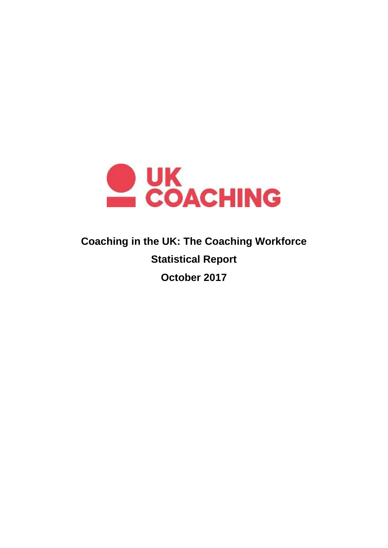

# **Coaching in the UK: The Coaching Workforce Statistical Report October 2017**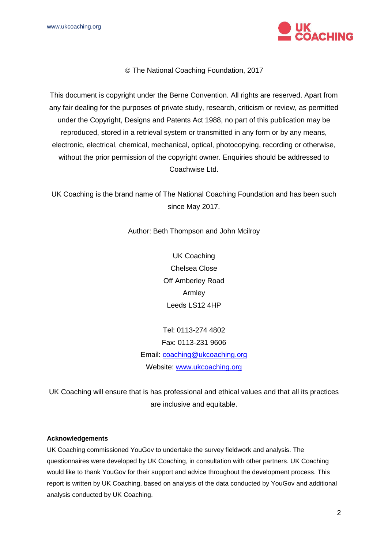

The National Coaching Foundation, 2017

This document is copyright under the Berne Convention. All rights are reserved. Apart from any fair dealing for the purposes of private study, research, criticism or review, as permitted under the Copyright, Designs and Patents Act 1988, no part of this publication may be reproduced, stored in a retrieval system or transmitted in any form or by any means, electronic, electrical, chemical, mechanical, optical, photocopying, recording or otherwise, without the prior permission of the copyright owner. Enquiries should be addressed to Coachwise Ltd.

UK Coaching is the brand name of The National Coaching Foundation and has been such since May 2017.

Author: Beth Thompson and John Mcilroy

UK Coaching Chelsea Close Off Amberley Road Armley Leeds LS12 4HP

Tel: 0113-274 4802 Fax: 0113-231 9606 Email: [coaching@ukcoaching.org](mailto:coaching@ukcoaching.org) Website: [www.ukcoaching.org](http://www.ukcoaching.org/)

UK Coaching will ensure that is has professional and ethical values and that all its practices are inclusive and equitable.

#### **Acknowledgements**

UK Coaching commissioned YouGov to undertake the survey fieldwork and analysis. The questionnaires were developed by UK Coaching, in consultation with other partners. UK Coaching would like to thank YouGov for their support and advice throughout the development process. This report is written by UK Coaching, based on analysis of the data conducted by YouGov and additional analysis conducted by UK Coaching.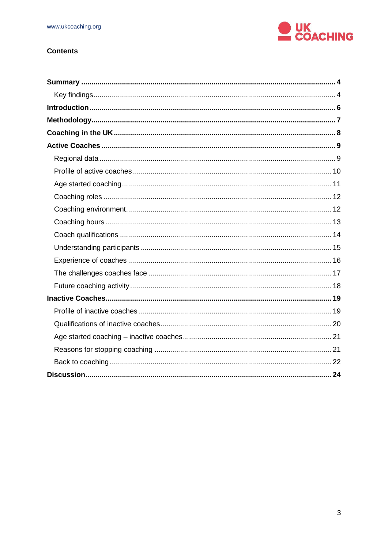

# **Contents**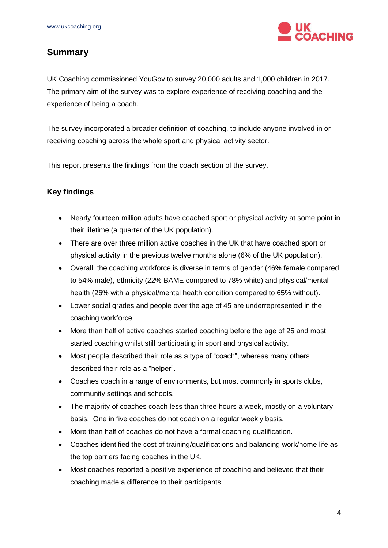

# <span id="page-3-0"></span>**Summary**

UK Coaching commissioned YouGov to survey 20,000 adults and 1,000 children in 2017. The primary aim of the survey was to explore experience of receiving coaching and the experience of being a coach.

The survey incorporated a broader definition of coaching, to include anyone involved in or receiving coaching across the whole sport and physical activity sector.

This report presents the findings from the coach section of the survey.

# <span id="page-3-1"></span>**Key findings**

- Nearly fourteen million adults have coached sport or physical activity at some point in their lifetime (a quarter of the UK population).
- There are over three million active coaches in the UK that have coached sport or physical activity in the previous twelve months alone (6% of the UK population).
- Overall, the coaching workforce is diverse in terms of gender (46% female compared to 54% male), ethnicity (22% BAME compared to 78% white) and physical/mental health (26% with a physical/mental health condition compared to 65% without).
- Lower social grades and people over the age of 45 are underrepresented in the coaching workforce.
- More than half of active coaches started coaching before the age of 25 and most started coaching whilst still participating in sport and physical activity.
- Most people described their role as a type of "coach", whereas many others described their role as a "helper".
- Coaches coach in a range of environments, but most commonly in sports clubs, community settings and schools.
- The majority of coaches coach less than three hours a week, mostly on a voluntary basis. One in five coaches do not coach on a regular weekly basis.
- More than half of coaches do not have a formal coaching qualification.
- Coaches identified the cost of training/qualifications and balancing work/home life as the top barriers facing coaches in the UK.
- Most coaches reported a positive experience of coaching and believed that their coaching made a difference to their participants.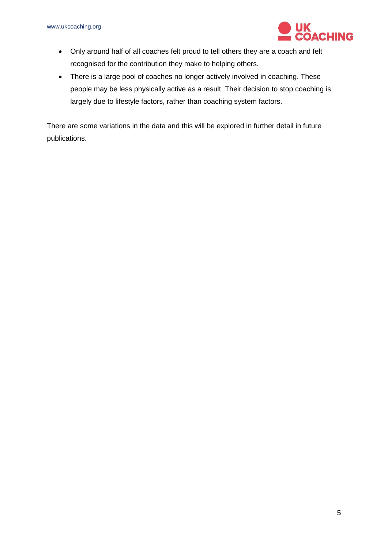

- Only around half of all coaches felt proud to tell others they are a coach and felt recognised for the contribution they make to helping others.
- There is a large pool of coaches no longer actively involved in coaching. These people may be less physically active as a result. Their decision to stop coaching is largely due to lifestyle factors, rather than coaching system factors.

There are some variations in the data and this will be explored in further detail in future publications.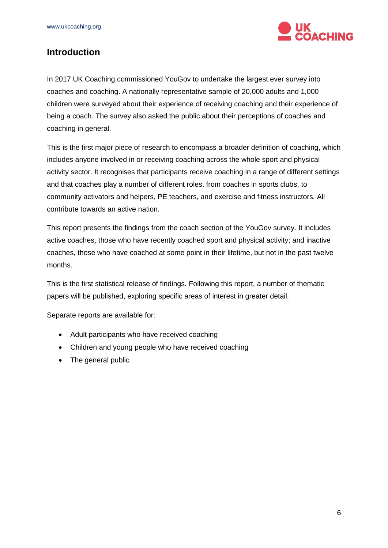

# <span id="page-5-0"></span>**Introduction**

In 2017 UK Coaching commissioned YouGov to undertake the largest ever survey into coaches and coaching. A nationally representative sample of 20,000 adults and 1,000 children were surveyed about their experience of receiving coaching and their experience of being a coach. The survey also asked the public about their perceptions of coaches and coaching in general.

This is the first major piece of research to encompass a broader definition of coaching, which includes anyone involved in or receiving coaching across the whole sport and physical activity sector. It recognises that participants receive coaching in a range of different settings and that coaches play a number of different roles, from coaches in sports clubs, to community activators and helpers, PE teachers, and exercise and fitness instructors. All contribute towards an active nation.

This report presents the findings from the coach section of the YouGov survey. It includes active coaches, those who have recently coached sport and physical activity; and inactive coaches, those who have coached at some point in their lifetime, but not in the past twelve months.

This is the first statistical release of findings. Following this report, a number of thematic papers will be published, exploring specific areas of interest in greater detail.

Separate reports are available for:

- Adult participants who have received coaching
- Children and young people who have received coaching
- The general public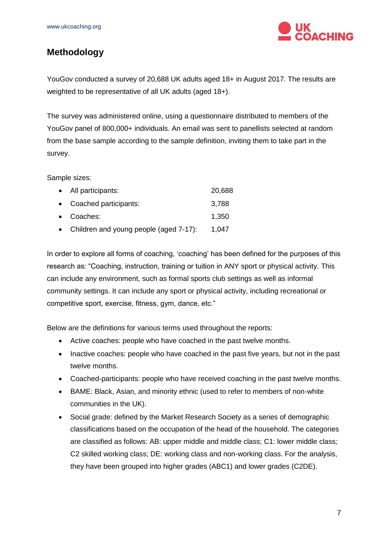

# <span id="page-6-0"></span>**Methodology**

YouGov conducted a survey of 20,688 UK adults aged 18+ in August 2017. The results are weighted to be representative of all UK adults (aged 18+).

The survey was administered online, using a questionnaire distributed to members of the YouGov panel of 800,000+ individuals. An email was sent to panellists selected at random from the base sample according to the sample definition, inviting them to take part in the survey.

Sample sizes:

| • All participants:                      | 20,688 |
|------------------------------------------|--------|
| • Coached participants:                  | 3,788  |
| • Coaches:                               | 1,350  |
| • Children and young people (aged 7-17): | 1,047  |

In order to explore all forms of coaching, 'coaching' has been defined for the purposes of this research as: "Coaching, instruction, training or tuition in ANY sport or physical activity. This can include any environment, such as formal sports club settings as well as informal community settings. It can include any sport or physical activity, including recreational or competitive sport, exercise, fitness, gym, dance, etc."

Below are the definitions for various terms used throughout the reports:

- Active coaches: people who have coached in the past twelve months.
- Inactive coaches: people who have coached in the past five years, but not in the past twelve months.
- Coached-participants: people who have received coaching in the past twelve months.
- BAME: Black, Asian, and minority ethnic (used to refer to members of non-white communities in the UK).
- Social grade: defined by the Market Research Society as a series of demographic classifications based on the occupation of the head of the household. The categories are classified as follows: AB: upper middle and middle class; C1: lower middle class; C2 skilled working class; DE: working class and non-working class. For the analysis, they have been grouped into higher grades (ABC1) and lower grades (C2DE).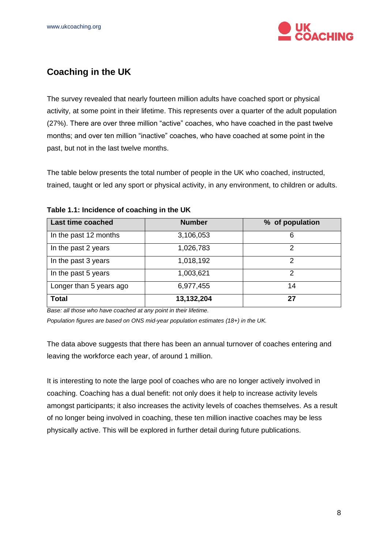

# <span id="page-7-0"></span>**Coaching in the UK**

The survey revealed that nearly fourteen million adults have coached sport or physical activity, at some point in their lifetime. This represents over a quarter of the adult population (27%). There are over three million "active" coaches, who have coached in the past twelve months; and over ten million "inactive" coaches, who have coached at some point in the past, but not in the last twelve months.

The table below presents the total number of people in the UK who coached, instructed, trained, taught or led any sport or physical activity, in any environment, to children or adults.

| Last time coached       | <b>Number</b> | % of population |
|-------------------------|---------------|-----------------|
| In the past 12 months   | 3,106,053     | 6               |
| In the past 2 years     | 1,026,783     | 2               |
| In the past 3 years     | 1,018,192     | 2               |
| In the past 5 years     | 1,003,621     | 2               |
| Longer than 5 years ago | 6,977,455     | 14              |
| <b>Total</b>            | 13,132,204    | 27              |

**Table 1.1: Incidence of coaching in the UK**

*Base: all those who have coached at any point in their lifetime.* 

*Population figures are based on ONS mid-year population estimates (18+) in the UK.*

The data above suggests that there has been an annual turnover of coaches entering and leaving the workforce each year, of around 1 million.

It is interesting to note the large pool of coaches who are no longer actively involved in coaching. Coaching has a dual benefit: not only does it help to increase activity levels amongst participants; it also increases the activity levels of coaches themselves. As a result of no longer being involved in coaching, these ten million inactive coaches may be less physically active. This will be explored in further detail during future publications.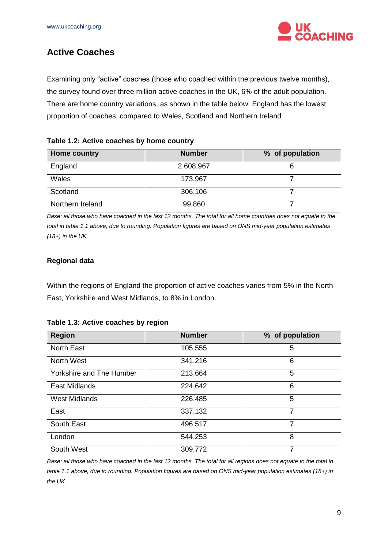

# <span id="page-8-0"></span>**Active Coaches**

Examining only "active" coaches (those who coached within the previous twelve months), the survey found over three million active coaches in the UK, 6% of the adult population. There are home country variations, as shown in the table below. England has the lowest proportion of coaches, compared to Wales, Scotland and Northern Ireland

## **Table 1.2: Active coaches by home country**

| Home country     | <b>Number</b> | % of population |
|------------------|---------------|-----------------|
| England          | 2,608,967     | о               |
| Wales            | 173,967       |                 |
| Scotland         | 306,106       |                 |
| Northern Ireland | 99,860        |                 |

*Base: all those who have coached in the last 12 months. The total for all home countries does not equate to the total in table 1.1 above, due to rounding. Population figures are based on ONS mid-year population estimates (18+) in the UK.*

# <span id="page-8-1"></span>**Regional data**

Within the regions of England the proportion of active coaches varies from 5% in the North East, Yorkshire and West Midlands, to 8% in London.

| <b>Region</b>                   | <b>Number</b> | % of population |
|---------------------------------|---------------|-----------------|
| <b>North East</b>               | 105,555       | 5               |
| North West                      | 341,216       | 6               |
| <b>Yorkshire and The Humber</b> | 213,664       | 5               |
| East Midlands                   | 224,642       | 6               |
| <b>West Midlands</b>            | 226,485       | 5               |
| East                            | 337,132       | $\overline{7}$  |
| South East                      | 496,517       | 7               |
| London                          | 544,253       | 8               |
| South West                      | 309,772       | 7               |

#### **Table 1.3: Active coaches by region**

*Base: all those who have coached in the last 12 months. The total for all regions does not equate to the total in table 1.1 above, due to rounding. Population figures are based on ONS mid-year population estimates (18+) in the UK.*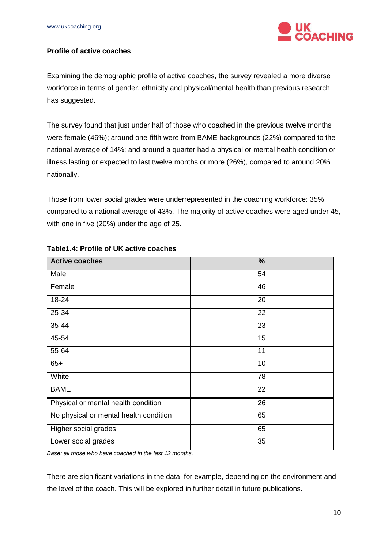

# <span id="page-9-0"></span>**Profile of active coaches**

Examining the demographic profile of active coaches, the survey revealed a more diverse workforce in terms of gender, ethnicity and physical/mental health than previous research has suggested.

The survey found that just under half of those who coached in the previous twelve months were female (46%); around one-fifth were from BAME backgrounds (22%) compared to the national average of 14%; and around a quarter had a physical or mental health condition or illness lasting or expected to last twelve months or more (26%), compared to around 20% nationally.

Those from lower social grades were underrepresented in the coaching workforce: 35% compared to a national average of 43%. The majority of active coaches were aged under 45, with one in five (20%) under the age of 25.

| <b>Active coaches</b>                  | %  |
|----------------------------------------|----|
| Male                                   | 54 |
| Female                                 | 46 |
| 18-24                                  | 20 |
| 25-34                                  | 22 |
| 35-44                                  | 23 |
| 45-54                                  | 15 |
| 55-64                                  | 11 |
| $65+$                                  | 10 |
| White                                  | 78 |
| <b>BAME</b>                            | 22 |
| Physical or mental health condition    | 26 |
| No physical or mental health condition | 65 |
| Higher social grades                   | 65 |
| Lower social grades                    | 35 |

#### **Table1.4: Profile of UK active coaches**

*Base: all those who have coached in the last 12 months.* 

There are significant variations in the data, for example, depending on the environment and the level of the coach. This will be explored in further detail in future publications.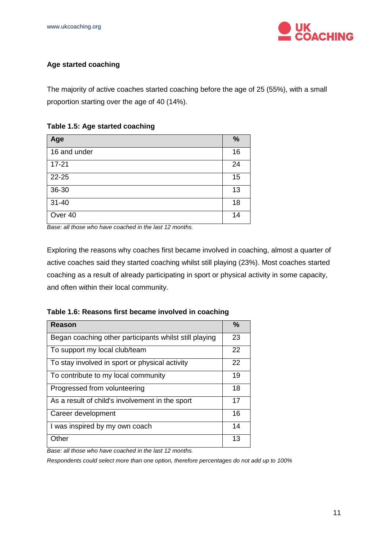

# <span id="page-10-0"></span>**Age started coaching**

The majority of active coaches started coaching before the age of 25 (55%), with a small proportion starting over the age of 40 (14%).

## **Table 1.5: Age started coaching**

| Age          | %  |
|--------------|----|
| 16 and under | 16 |
| $17 - 21$    | 24 |
| 22-25        | 15 |
| 36-30        | 13 |
| $31 - 40$    | 18 |
| Over 40      | 14 |

*Base: all those who have coached in the last 12 months.* 

Exploring the reasons why coaches first became involved in coaching, almost a quarter of active coaches said they started coaching whilst still playing (23%). Most coaches started coaching as a result of already participating in sport or physical activity in some capacity, and often within their local community.

**Table 1.6: Reasons first became involved in coaching**

| <b>Reason</b>                                          | %  |
|--------------------------------------------------------|----|
| Began coaching other participants whilst still playing | 23 |
| To support my local club/team                          | 22 |
| To stay involved in sport or physical activity         | 22 |
| To contribute to my local community                    | 19 |
| Progressed from volunteering                           | 18 |
| As a result of child's involvement in the sport        | 17 |
| Career development                                     | 16 |
| I was inspired by my own coach                         | 14 |
| Other                                                  | 13 |

*Base: all those who have coached in the last 12 months.* 

*Respondents could select more than one option, therefore percentages do not add up to 100%*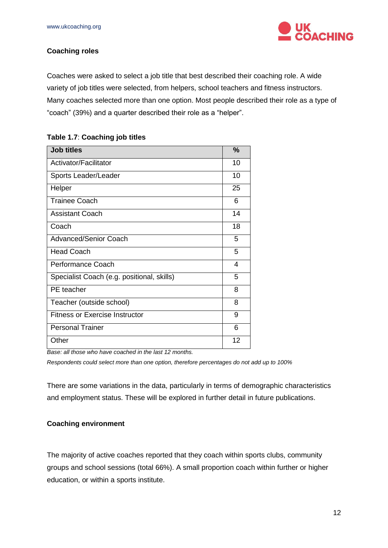

# <span id="page-11-0"></span>**Coaching roles**

Coaches were asked to select a job title that best described their coaching role. A wide variety of job titles were selected, from helpers, school teachers and fitness instructors. Many coaches selected more than one option. Most people described their role as a type of "coach" (39%) and a quarter described their role as a "helper".

|  |  |  | Table 1.7: Coaching job titles |
|--|--|--|--------------------------------|
|--|--|--|--------------------------------|

| <b>Job titles</b>                          | $\frac{9}{6}$ |
|--------------------------------------------|---------------|
| Activator/Facilitator                      | 10            |
| Sports Leader/Leader                       | 10            |
| Helper                                     | 25            |
| <b>Trainee Coach</b>                       | 6             |
| <b>Assistant Coach</b>                     | 14            |
| Coach                                      | 18            |
| <b>Advanced/Senior Coach</b>               | 5             |
| <b>Head Coach</b>                          | 5             |
| Performance Coach                          | 4             |
| Specialist Coach (e.g. positional, skills) | 5             |
| PE teacher                                 | 8             |
| Teacher (outside school)                   | 8             |
| <b>Fitness or Exercise Instructor</b>      | 9             |
| <b>Personal Trainer</b>                    | 6             |
| Other                                      | 12            |

*Base: all those who have coached in the last 12 months.* 

*Respondents could select more than one option, therefore percentages do not add up to 100%*

There are some variations in the data, particularly in terms of demographic characteristics and employment status. These will be explored in further detail in future publications.

#### <span id="page-11-1"></span>**Coaching environment**

The majority of active coaches reported that they coach within sports clubs, community groups and school sessions (total 66%). A small proportion coach within further or higher education, or within a sports institute.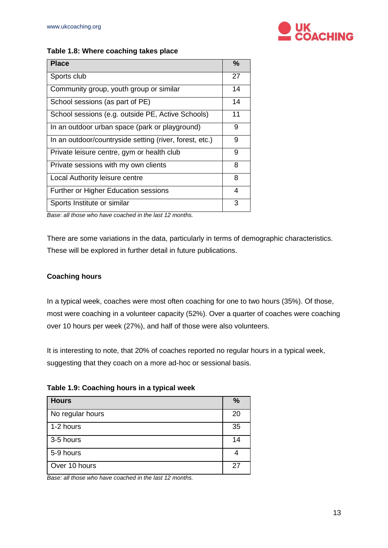

### **Table 1.8: Where coaching takes place**

| <b>Place</b>                                            | %  |
|---------------------------------------------------------|----|
| Sports club                                             | 27 |
| Community group, youth group or similar                 | 14 |
| School sessions (as part of PE)                         | 14 |
| School sessions (e.g. outside PE, Active Schools)       | 11 |
| In an outdoor urban space (park or playground)          | 9  |
| In an outdoor/countryside setting (river, forest, etc.) | 9  |
| Private leisure centre, gym or health club              | 9  |
| Private sessions with my own clients                    | 8  |
| Local Authority leisure centre                          | 8  |
| Further or Higher Education sessions                    | 4  |
| Sports Institute or similar                             | 3  |

*Base: all those who have coached in the last 12 months.* 

There are some variations in the data, particularly in terms of demographic characteristics. These will be explored in further detail in future publications.

## <span id="page-12-0"></span>**Coaching hours**

In a typical week, coaches were most often coaching for one to two hours (35%). Of those, most were coaching in a volunteer capacity (52%). Over a quarter of coaches were coaching over 10 hours per week (27%), and half of those were also volunteers.

It is interesting to note, that 20% of coaches reported no regular hours in a typical week, suggesting that they coach on a more ad-hoc or sessional basis.

| Table 1.9: Coaching hours in a typical week |  |  |  |  |  |  |
|---------------------------------------------|--|--|--|--|--|--|
|---------------------------------------------|--|--|--|--|--|--|

| <b>Hours</b>     | $\%$ |
|------------------|------|
| No regular hours | 20   |
| 1-2 hours        | 35   |
| 3-5 hours        | 14   |
| 5-9 hours        |      |
| Over 10 hours    | 27   |

*Base: all those who have coached in the last 12 months.*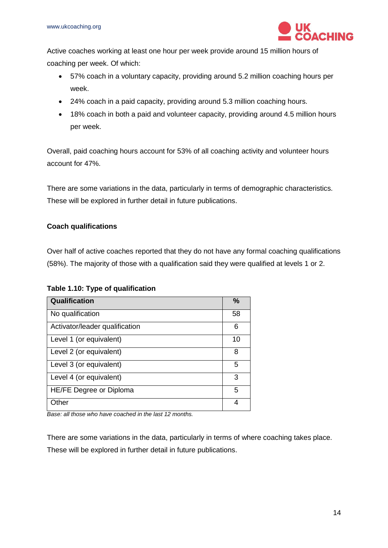

Active coaches working at least one hour per week provide around 15 million hours of coaching per week. Of which:

- 57% coach in a voluntary capacity, providing around 5.2 million coaching hours per week.
- 24% coach in a paid capacity, providing around 5.3 million coaching hours.
- 18% coach in both a paid and volunteer capacity, providing around 4.5 million hours per week.

Overall, paid coaching hours account for 53% of all coaching activity and volunteer hours account for 47%.

There are some variations in the data, particularly in terms of demographic characteristics. These will be explored in further detail in future publications.

# <span id="page-13-0"></span>**Coach qualifications**

Over half of active coaches reported that they do not have any formal coaching qualifications (58%). The majority of those with a qualification said they were qualified at levels 1 or 2.

# **Table 1.10: Type of qualification**

| <b>Qualification</b>           | $\frac{0}{0}$ |
|--------------------------------|---------------|
| No qualification               | 58            |
| Activator/leader qualification | 6             |
| Level 1 (or equivalent)        | 10            |
| Level 2 (or equivalent)        | 8             |
| Level 3 (or equivalent)        | 5             |
| Level 4 (or equivalent)        | 3             |
| HE/FE Degree or Diploma        | 5             |
| Other                          | 4             |

*Base: all those who have coached in the last 12 months.* 

There are some variations in the data, particularly in terms of where coaching takes place. These will be explored in further detail in future publications.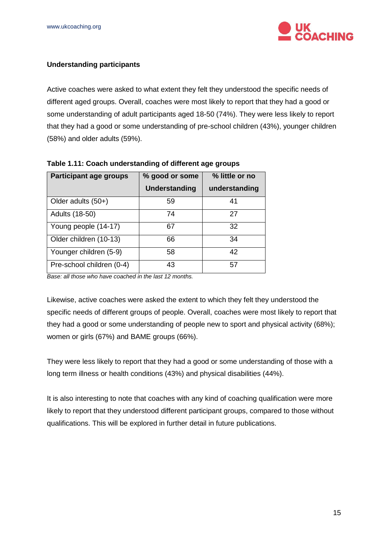

# <span id="page-14-0"></span>**Understanding participants**

Active coaches were asked to what extent they felt they understood the specific needs of different aged groups. Overall, coaches were most likely to report that they had a good or some understanding of adult participants aged 18-50 (74%). They were less likely to report that they had a good or some understanding of pre-school children (43%), younger children (58%) and older adults (59%).

| Participant age groups    | % good or some | % little or no |
|---------------------------|----------------|----------------|
|                           | Understanding  | understanding  |
| Older adults (50+)        | 59             | 41             |
| Adults (18-50)            | 74             | 27             |
| Young people (14-17)      | 67             | 32             |
| Older children (10-13)    | 66             | 34             |
| Younger children (5-9)    | 58             | 42             |
| Pre-school children (0-4) | 43             | 57             |

#### **Table 1.11: Coach understanding of different age groups**

*Base: all those who have coached in the last 12 months.* 

Likewise, active coaches were asked the extent to which they felt they understood the specific needs of different groups of people. Overall, coaches were most likely to report that they had a good or some understanding of people new to sport and physical activity (68%); women or girls (67%) and BAME groups (66%).

They were less likely to report that they had a good or some understanding of those with a long term illness or health conditions (43%) and physical disabilities (44%).

It is also interesting to note that coaches with any kind of coaching qualification were more likely to report that they understood different participant groups, compared to those without qualifications. This will be explored in further detail in future publications.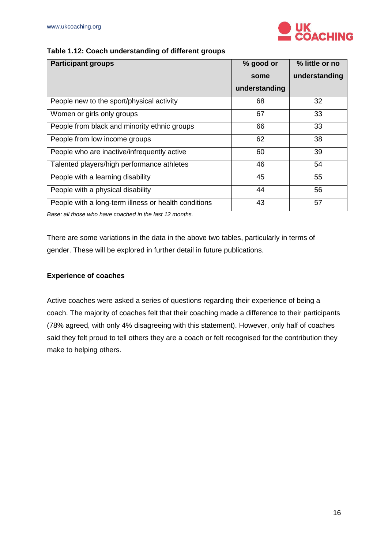

# **Table 1.12: Coach understanding of different groups**

| <b>Participant groups</b>                            | % good or     | % little or no |
|------------------------------------------------------|---------------|----------------|
|                                                      | some          | understanding  |
|                                                      | understanding |                |
| People new to the sport/physical activity            | 68            | 32             |
| Women or girls only groups                           | 67            | 33             |
| People from black and minority ethnic groups         | 66            | 33             |
| People from low income groups                        | 62            | 38             |
| People who are inactive/infrequently active          | 60            | 39             |
| Talented players/high performance athletes           | 46            | 54             |
| People with a learning disability                    | 45            | 55             |
| People with a physical disability                    | 44            | 56             |
| People with a long-term illness or health conditions | 43            | 57             |

*Base: all those who have coached in the last 12 months.* 

There are some variations in the data in the above two tables, particularly in terms of gender. These will be explored in further detail in future publications.

# <span id="page-15-0"></span>**Experience of coaches**

Active coaches were asked a series of questions regarding their experience of being a coach. The majority of coaches felt that their coaching made a difference to their participants (78% agreed, with only 4% disagreeing with this statement). However, only half of coaches said they felt proud to tell others they are a coach or felt recognised for the contribution they make to helping others.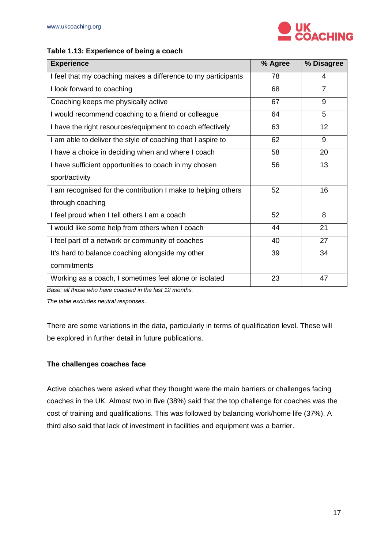

## **Table 1.13: Experience of being a coach**

| <b>Experience</b>                                             | % Agree | % Disagree     |
|---------------------------------------------------------------|---------|----------------|
| I feel that my coaching makes a difference to my participants | 78      | 4              |
| I look forward to coaching                                    | 68      | $\overline{7}$ |
| Coaching keeps me physically active                           | 67      | 9              |
| I would recommend coaching to a friend or colleague           | 64      | 5              |
| I have the right resources/equipment to coach effectively     | 63      | 12             |
| I am able to deliver the style of coaching that I aspire to   | 62      | 9              |
| I have a choice in deciding when and where I coach            | 58      | 20             |
| I have sufficient opportunities to coach in my chosen         | 56      | 13             |
| sport/activity                                                |         |                |
| I am recognised for the contribution I make to helping others | 52      | 16             |
| through coaching                                              |         |                |
| I feel proud when I tell others I am a coach                  | 52      | 8              |
| I would like some help from others when I coach               | 44      | 21             |
| I feel part of a network or community of coaches              | 40      | 27             |
| It's hard to balance coaching alongside my other              | 39      | 34             |
| commitments                                                   |         |                |
| Working as a coach, I sometimes feel alone or isolated        | 23      | 47             |

*Base: all those who have coached in the last 12 months.* 

*The table excludes neutral responses.*

There are some variations in the data, particularly in terms of qualification level. These will be explored in further detail in future publications.

#### <span id="page-16-0"></span>**The challenges coaches face**

Active coaches were asked what they thought were the main barriers or challenges facing coaches in the UK. Almost two in five (38%) said that the top challenge for coaches was the cost of training and qualifications. This was followed by balancing work/home life (37%). A third also said that lack of investment in facilities and equipment was a barrier.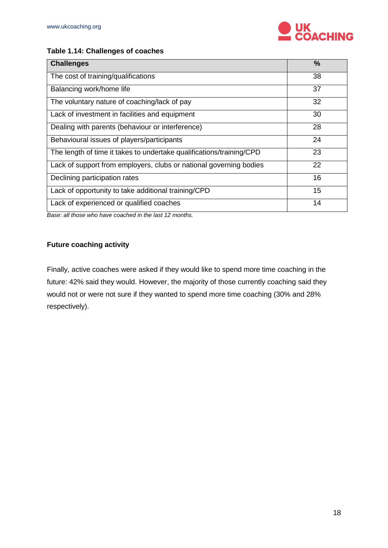

# **Table 1.14: Challenges of coaches**

| <b>Challenges</b>                                                    | $\frac{0}{0}$ |
|----------------------------------------------------------------------|---------------|
| The cost of training/qualifications                                  | 38            |
| Balancing work/home life                                             | 37            |
| The voluntary nature of coaching/lack of pay                         | 32            |
| Lack of investment in facilities and equipment                       | 30            |
| Dealing with parents (behaviour or interference)                     | 28            |
| Behavioural issues of players/participants                           | 24            |
| The length of time it takes to undertake qualifications/training/CPD | 23            |
| Lack of support from employers, clubs or national governing bodies   | 22            |
| Declining participation rates                                        | 16            |
| Lack of opportunity to take additional training/CPD                  | 15            |
| Lack of experienced or qualified coaches                             | 14            |

*Base: all those who have coached in the last 12 months.* 

# <span id="page-17-0"></span>**Future coaching activity**

Finally, active coaches were asked if they would like to spend more time coaching in the future: 42% said they would. However, the majority of those currently coaching said they would not or were not sure if they wanted to spend more time coaching (30% and 28% respectively).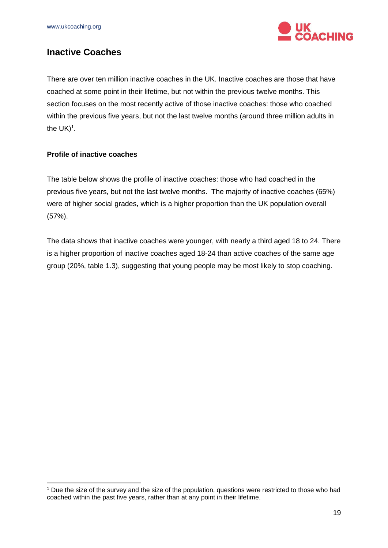

# <span id="page-18-0"></span>**Inactive Coaches**

There are over ten million inactive coaches in the UK. Inactive coaches are those that have coached at some point in their lifetime, but not within the previous twelve months. This section focuses on the most recently active of those inactive coaches: those who coached within the previous five years, but not the last twelve months (around three million adults in the  $UK)^1$ .

# <span id="page-18-1"></span>**Profile of inactive coaches**

-

The table below shows the profile of inactive coaches: those who had coached in the previous five years, but not the last twelve months. The majority of inactive coaches (65%) were of higher social grades, which is a higher proportion than the UK population overall (57%).

The data shows that inactive coaches were younger, with nearly a third aged 18 to 24. There is a higher proportion of inactive coaches aged 18-24 than active coaches of the same age group (20%, table 1.3), suggesting that young people may be most likely to stop coaching.

<sup>&</sup>lt;sup>1</sup> Due the size of the survey and the size of the population, questions were restricted to those who had coached within the past five years, rather than at any point in their lifetime.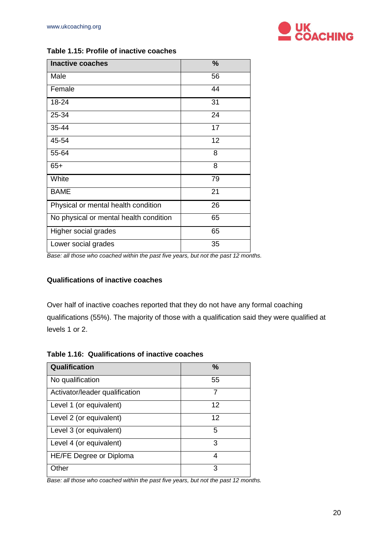

| Table 1.15: Profile of inactive coaches |
|-----------------------------------------|
|-----------------------------------------|

| <b>Inactive coaches</b>                | $\%$ |
|----------------------------------------|------|
| Male                                   | 56   |
| Female                                 | 44   |
| 18-24                                  | 31   |
| 25-34                                  | 24   |
| 35-44                                  | 17   |
| 45-54                                  | 12   |
| 55-64                                  | 8    |
| $65+$                                  | 8    |
| White                                  | 79   |
| <b>BAME</b>                            | 21   |
| Physical or mental health condition    | 26   |
| No physical or mental health condition | 65   |
| Higher social grades                   | 65   |
| Lower social grades                    | 35   |

**Base: all those who coached within the past five years, but not the past 12 months.** 

#### <span id="page-19-0"></span>**Qualifications of inactive coaches**

Over half of inactive coaches reported that they do not have any formal coaching qualifications (55%). The majority of those with a qualification said they were qualified at levels 1 or 2.

**Table 1.16: Qualifications of inactive coaches**

| Qualification                  | $\frac{0}{0}$ |
|--------------------------------|---------------|
| No qualification               | 55            |
| Activator/leader qualification | 7             |
| Level 1 (or equivalent)        | 12            |
| Level 2 (or equivalent)        | 12            |
| Level 3 (or equivalent)        | 5             |
| Level 4 (or equivalent)        | 3             |
| HE/FE Degree or Diploma        | 4             |
| Other                          | з             |

**Base: all those who coached within the past five years, but not the past 12 months.**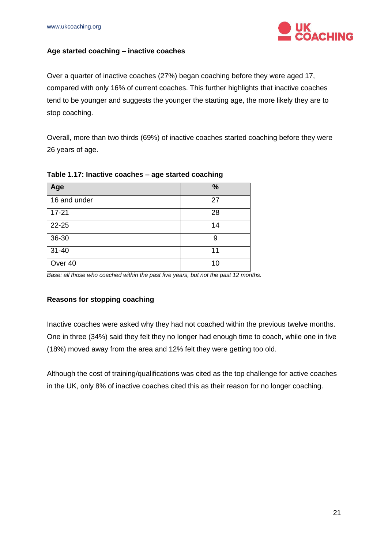

## <span id="page-20-0"></span>**Age started coaching – inactive coaches**

Over a quarter of inactive coaches (27%) began coaching before they were aged 17, compared with only 16% of current coaches. This further highlights that inactive coaches tend to be younger and suggests the younger the starting age, the more likely they are to stop coaching.

Overall, more than two thirds (69%) of inactive coaches started coaching before they were 26 years of age.

| Age          | %  |
|--------------|----|
| 16 and under | 27 |
| $17 - 21$    | 28 |
| 22-25        | 14 |
| 36-30        | 9  |
| $31 - 40$    | 11 |
| Over 40      | 10 |

#### **Table 1.17: Inactive coaches – age started coaching**

**Base: all those who coached within the past five years, but not the past 12 months.** 

#### <span id="page-20-1"></span>**Reasons for stopping coaching**

Inactive coaches were asked why they had not coached within the previous twelve months. One in three (34%) said they felt they no longer had enough time to coach, while one in five (18%) moved away from the area and 12% felt they were getting too old.

Although the cost of training/qualifications was cited as the top challenge for active coaches in the UK, only 8% of inactive coaches cited this as their reason for no longer coaching.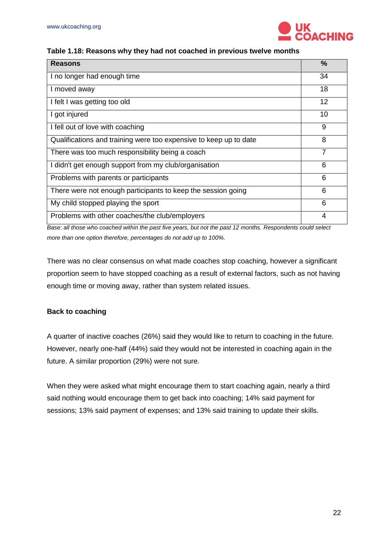

#### **Table 1.18: Reasons why they had not coached in previous twelve months**

| <b>Reasons</b>                                                    | %  |
|-------------------------------------------------------------------|----|
| I no longer had enough time                                       | 34 |
| I moved away                                                      | 18 |
| I felt I was getting too old                                      | 12 |
| I got injured                                                     | 10 |
| I fell out of love with coaching                                  | 9  |
| Qualifications and training were too expensive to keep up to date | 8  |
| There was too much responsibility being a coach                   | 7  |
| I didn't get enough support from my club/organisation             | 6  |
| Problems with parents or participants                             | 6  |
| There were not enough participants to keep the session going      | 6  |
| My child stopped playing the sport                                | 6  |
| Problems with other coaches/the club/employers                    | 4  |

*Base: all those who coached within the past five years, but not the past 12 months. Respondents could select more than one option therefore, percentages do not add up to 100%.* 

There was no clear consensus on what made coaches stop coaching, however a significant proportion seem to have stopped coaching as a result of external factors, such as not having enough time or moving away, rather than system related issues.

#### <span id="page-21-0"></span>**Back to coaching**

A quarter of inactive coaches (26%) said they would like to return to coaching in the future. However, nearly one-half (44%) said they would not be interested in coaching again in the future. A similar proportion (29%) were not sure.

When they were asked what might encourage them to start coaching again, nearly a third said nothing would encourage them to get back into coaching; 14% said payment for sessions; 13% said payment of expenses; and 13% said training to update their skills.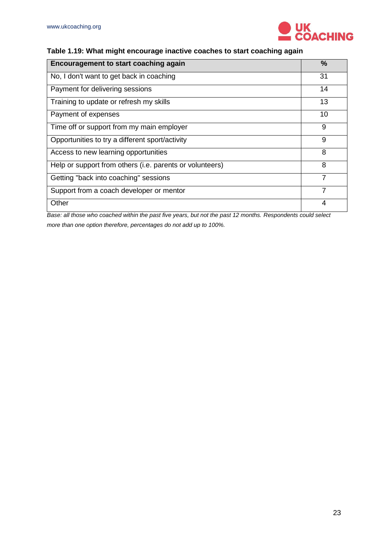

# **Table 1.19: What might encourage inactive coaches to start coaching again**

| <b>Encouragement to start coaching again</b>             | ℅  |
|----------------------------------------------------------|----|
| No, I don't want to get back in coaching                 | 31 |
| Payment for delivering sessions                          | 14 |
| Training to update or refresh my skills                  | 13 |
| Payment of expenses                                      | 10 |
| Time off or support from my main employer                | 9  |
| Opportunities to try a different sport/activity          | 9  |
| Access to new learning opportunities                     | 8  |
| Help or support from others (i.e. parents or volunteers) | 8  |
| Getting "back into coaching" sessions                    | 7  |
| Support from a coach developer or mentor                 |    |
| Other                                                    |    |

*Base: all those who coached within the past five years, but not the past 12 months. Respondents could select more than one option therefore, percentages do not add up to 100%.*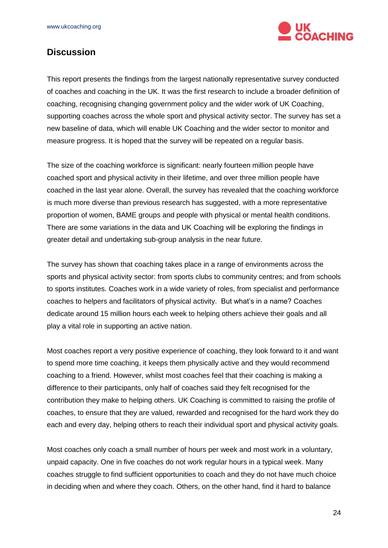

# <span id="page-23-0"></span>**Discussion**

This report presents the findings from the largest nationally representative survey conducted of coaches and coaching in the UK. It was the first research to include a broader definition of coaching, recognising changing government policy and the wider work of UK Coaching, supporting coaches across the whole sport and physical activity sector. The survey has set a new baseline of data, which will enable UK Coaching and the wider sector to monitor and measure progress. It is hoped that the survey will be repeated on a regular basis.

The size of the coaching workforce is significant: nearly fourteen million people have coached sport and physical activity in their lifetime, and over three million people have coached in the last year alone. Overall, the survey has revealed that the coaching workforce is much more diverse than previous research has suggested, with a more representative proportion of women, BAME groups and people with physical or mental health conditions. There are some variations in the data and UK Coaching will be exploring the findings in greater detail and undertaking sub-group analysis in the near future.

The survey has shown that coaching takes place in a range of environments across the sports and physical activity sector: from sports clubs to community centres; and from schools to sports institutes. Coaches work in a wide variety of roles, from specialist and performance coaches to helpers and facilitators of physical activity. But what's in a name? Coaches dedicate around 15 million hours each week to helping others achieve their goals and all play a vital role in supporting an active nation.

Most coaches report a very positive experience of coaching, they look forward to it and want to spend more time coaching, it keeps them physically active and they would recommend coaching to a friend. However, whilst most coaches feel that their coaching is making a difference to their participants, only half of coaches said they felt recognised for the contribution they make to helping others. UK Coaching is committed to raising the profile of coaches, to ensure that they are valued, rewarded and recognised for the hard work they do each and every day, helping others to reach their individual sport and physical activity goals.

Most coaches only coach a small number of hours per week and most work in a voluntary, unpaid capacity. One in five coaches do not work regular hours in a typical week. Many coaches struggle to find sufficient opportunities to coach and they do not have much choice in deciding when and where they coach. Others, on the other hand, find it hard to balance